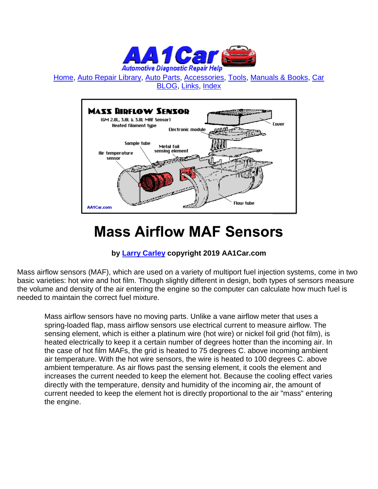

[Home,](http://www.aa1car.com/index.html) [Auto Repair Library,](http://www.aa1car.com/library.htm) [Auto Parts,](http://www.aa1car.com/links_parts.htm) [Accessories,](http://www.aa1car.com/links_accessories.htm) [Tools,](http://www.aa1car.com/links_tools.htm) [Manuals & Books,](http://www.aa1car.com/links_books.htm) [Car](http://www.aa1car.com/blog/blog.htm)  [BLOG,](http://www.aa1car.com/blog/blog.htm) [Links,](http://www.aa1car.com/links.htm) [Index](http://www.aa1car.com/index_alphabetical.htm)



# **Mass Airflow MAF Sensors**

#### **by [Larry Carley](https://www.aa1car.com/larrypage/larrycarley_photos.htm) copyright 2019 AA1Car.com**

Mass airflow sensors (MAF), which are used on a variety of multiport fuel injection systems, come in two basic varieties: hot wire and hot film. Though slightly different in design, both types of sensors measure the volume and density of the air entering the engine so the computer can calculate how much fuel is needed to maintain the correct fuel mixture.

Mass airflow sensors have no moving parts. Unlike a vane airflow meter that uses a spring-loaded flap, mass airflow sensors use electrical current to measure airflow. The sensing element, which is either a platinum wire (hot wire) or nickel foil grid (hot film), is heated electrically to keep it a certain number of degrees hotter than the incoming air. In the case of hot film MAFs, the grid is heated to 75 degrees C. above incoming ambient air temperature. With the hot wire sensors, the wire is heated to 100 degrees C. above ambient temperature. As air flows past the sensing element, it cools the element and increases the current needed to keep the element hot. Because the cooling effect varies directly with the temperature, density and humidity of the incoming air, the amount of current needed to keep the element hot is directly proportional to the air "mass" entering the engine.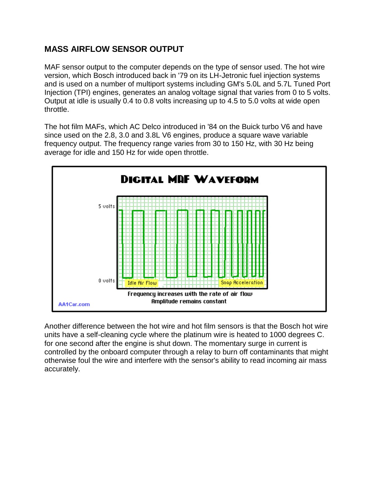# **MASS AIRFLOW SENSOR OUTPUT**

MAF sensor output to the computer depends on the type of sensor used. The hot wire version, which Bosch introduced back in '79 on its LH-Jetronic fuel injection systems and is used on a number of multiport systems including GM's 5.0L and 5.7L Tuned Port Injection (TPI) engines, generates an analog voltage signal that varies from 0 to 5 volts. Output at idle is usually 0.4 to 0.8 volts increasing up to 4.5 to 5.0 volts at wide open throttle.

The hot film MAFs, which AC Delco introduced in '84 on the Buick turbo V6 and have since used on the 2.8, 3.0 and 3.8L V6 engines, produce a square wave variable frequency output. The frequency range varies from 30 to 150 Hz, with 30 Hz being average for idle and 150 Hz for wide open throttle.



Another difference between the hot wire and hot film sensors is that the Bosch hot wire units have a self-cleaning cycle where the platinum wire is heated to 1000 degrees C. for one second after the engine is shut down. The momentary surge in current is controlled by the onboard computer through a relay to burn off contaminants that might otherwise foul the wire and interfere with the sensor's ability to read incoming air mass accurately.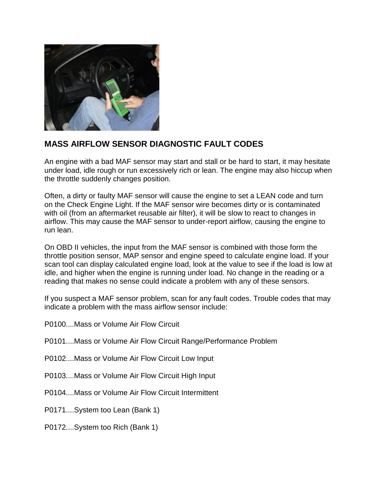

### **MASS AIRFLOW SENSOR DIAGNOSTIC FAULT CODES**

An engine with a bad MAF sensor may start and stall or be hard to start, it may hesitate under load, idle rough or run excessively rich or lean. The engine may also hiccup when the throttle suddenly changes position.

Often, a dirty or faulty MAF sensor will cause the engine to set a LEAN code and turn on the Check Engine Light. If the MAF sensor wire becomes dirty or is contaminated with oil (from an aftermarket reusable air filter), it will be slow to react to changes in airflow. This may cause the MAF sensor to under-report airflow, causing the engine to run lean.

On OBD II vehicles, the input from the MAF sensor is combined with those form the throttle position sensor, MAP sensor and engine speed to calculate engine load. If your scan tool can display calculated engine load, look at the value to see if the load is low at idle, and higher when the engine is running under load. No change in the reading or a reading that makes no sense could indicate a problem with any of these sensors.

If you suspect a MAF sensor problem, scan for any fault codes. Trouble codes that may indicate a problem with the mass airflow sensor include:

- P0100....Mass or Volume Air Flow Circuit
- P0101....Mass or Volume Air Flow Circuit Range/Performance Problem
- P0102....Mass or Volume Air Flow Circuit Low Input
- P0103....Mass or Volume Air Flow Circuit High Input
- P0104....Mass or Volume Air Flow Circuit Intermittent
- P0171....System too Lean (Bank 1)
- P0172....System too Rich (Bank 1)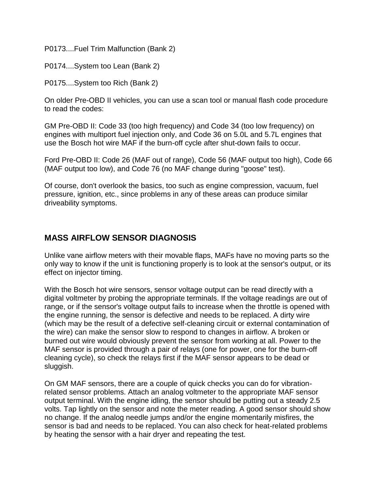P0173....Fuel Trim Malfunction (Bank 2)

P0174....System too Lean (Bank 2)

P0175....System too Rich (Bank 2)

On older Pre-OBD II vehicles, you can use a scan tool or manual flash code procedure to read the codes:

GM Pre-OBD II: Code 33 (too high frequency) and Code 34 (too low frequency) on engines with multiport fuel injection only, and Code 36 on 5.0L and 5.7L engines that use the Bosch hot wire MAF if the burn-off cycle after shut-down fails to occur.

Ford Pre-OBD II: Code 26 (MAF out of range), Code 56 (MAF output too high), Code 66 (MAF output too low), and Code 76 (no MAF change during "goose" test).

Of course, don't overlook the basics, too such as engine compression, vacuum, fuel pressure, ignition, etc., since problems in any of these areas can produce similar driveability symptoms.

#### **MASS AIRFLOW SENSOR DIAGNOSIS**

Unlike vane airflow meters with their movable flaps, MAFs have no moving parts so the only way to know if the unit is functioning properly is to look at the sensor's output, or its effect on injector timing.

With the Bosch hot wire sensors, sensor voltage output can be read directly with a digital voltmeter by probing the appropriate terminals. If the voltage readings are out of range, or if the sensor's voltage output fails to increase when the throttle is opened with the engine running, the sensor is defective and needs to be replaced. A dirty wire (which may be the result of a defective self-cleaning circuit or external contamination of the wire) can make the sensor slow to respond to changes in airflow. A broken or burned out wire would obviously prevent the sensor from working at all. Power to the MAF sensor is provided through a pair of relays (one for power, one for the burn-off cleaning cycle), so check the relays first if the MAF sensor appears to be dead or sluggish.

On GM MAF sensors, there are a couple of quick checks you can do for vibrationrelated sensor problems. Attach an analog voltmeter to the appropriate MAF sensor output terminal. With the engine idling, the sensor should be putting out a steady 2.5 volts. Tap lightly on the sensor and note the meter reading. A good sensor should show no change. If the analog needle jumps and/or the engine momentarily misfires, the sensor is bad and needs to be replaced. You can also check for heat-related problems by heating the sensor with a hair dryer and repeating the test.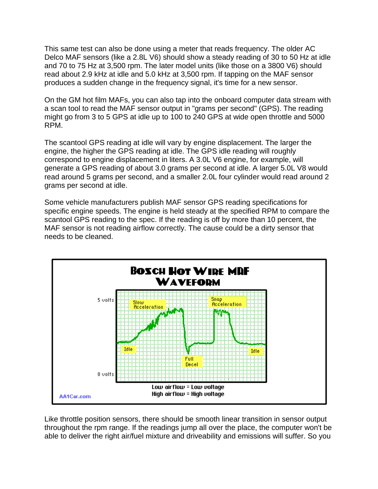This same test can also be done using a meter that reads frequency. The older AC Delco MAF sensors (like a 2.8L V6) should show a steady reading of 30 to 50 Hz at idle and 70 to 75 Hz at 3,500 rpm. The later model units (like those on a 3800 V6) should read about 2.9 kHz at idle and 5.0 kHz at 3,500 rpm. If tapping on the MAF sensor produces a sudden change in the frequency signal, it's time for a new sensor.

On the GM hot film MAFs, you can also tap into the onboard computer data stream with a scan tool to read the MAF sensor output in "grams per second" (GPS). The reading might go from 3 to 5 GPS at idle up to 100 to 240 GPS at wide open throttle and 5000 RPM.

The scantool GPS reading at idle will vary by engine displacement. The larger the engine, the higher the GPS reading at idle. The GPS idle reading will roughly correspond to engine displacement in liters. A 3.0L V6 engine, for example, will generate a GPS reading of about 3.0 grams per second at idle. A larger 5.0L V8 would read around 5 grams per second, and a smaller 2.0L four cylinder would read around 2 grams per second at idle.

Some vehicle manufacturers publish MAF sensor GPS reading specifications for specific engine speeds. The engine is held steady at the specified RPM to compare the scantool GPS reading to the spec. If the reading is off by more than 10 percent, the MAF sensor is not reading airflow correctly. The cause could be a dirty sensor that needs to be cleaned.



Like throttle position sensors, there should be smooth linear transition in sensor output throughout the rpm range. If the readings jump all over the place, the computer won't be able to deliver the right air/fuel mixture and driveability and emissions will suffer. So you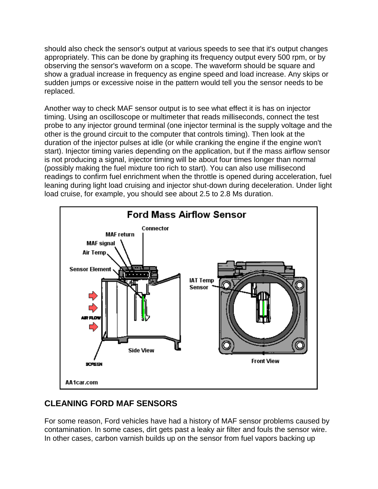should also check the sensor's output at various speeds to see that it's output changes appropriately. This can be done by graphing its frequency output every 500 rpm, or by observing the sensor's waveform on a scope. The waveform should be square and show a gradual increase in frequency as engine speed and load increase. Any skips or sudden jumps or excessive noise in the pattern would tell you the sensor needs to be replaced.

Another way to check MAF sensor output is to see what effect it is has on injector timing. Using an oscilloscope or multimeter that reads milliseconds, connect the test probe to any injector ground terminal (one injector terminal is the supply voltage and the other is the ground circuit to the computer that controls timing). Then look at the duration of the injector pulses at idle (or while cranking the engine if the engine won't start). Injector timing varies depending on the application, but if the mass airflow sensor is not producing a signal, injector timing will be about four times longer than normal (possibly making the fuel mixture too rich to start). You can also use millisecond readings to confirm fuel enrichment when the throttle is opened during acceleration, fuel leaning during light load cruising and injector shut-down during deceleration. Under light load cruise, for example, you should see about 2.5 to 2.8 Ms duration.



# **CLEANING FORD MAF SENSORS**

For some reason, Ford vehicles have had a history of MAF sensor problems caused by contamination. In some cases, dirt gets past a leaky air filter and fouls the sensor wire. In other cases, carbon varnish builds up on the sensor from fuel vapors backing up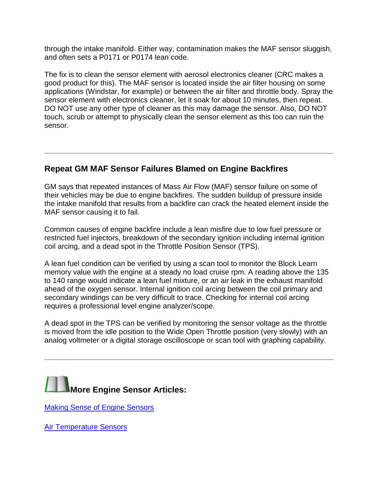through the intake manifold. Either way, contamination makes the MAF sensor sluggish, and often sets a P0171 or P0174 lean code.

The fix is to clean the sensor element with aerosol electronics cleaner (CRC makes a good product for this). The MAF sensor is located inside the air filter housing on some applications (Windstar, for example) or between the air filter and throttle body. Spray the sensor element with electronics cleaner, let it soak for about 10 minutes, then repeat. DO NOT use any other type of cleaner as this may damage the sensor. Also, DO NOT touch, scrub or attempt to physically clean the sensor element as this too can ruin the sensor.

#### **Repeat GM MAF Sensor Failures Blamed on Engine Backfires**

GM says that repeated instances of Mass Air Flow (MAF) sensor failure on some of their vehicles may be due to engine backfires. The sudden buildup of pressure inside the intake manifold that results from a backfire can crack the heated element inside the MAF sensor causing it to fail.

Common causes of engine backfire include a lean misfire due to low fuel pressure or restricted fuel injectors, breakdown of the secondary ignition including internal ignition coil arcing, and a dead spot in the Throttle Position Sensor (TPS).

A lean fuel condition can be verified by using a scan tool to monitor the Block Learn memory value with the engine at a steady no load cruise rpm. A reading above the 135 to 140 range would indicate a lean fuel mixture, or an air leak in the exhaust manifold ahead of the oxygen sensor. Internal ignition coil arcing between the coil primary and secondary windings can be very difficult to trace. Checking for internal coil arcing requires a professional level engine analyzer/scope.

A dead spot in the TPS can be verified by monitoring the sensor voltage as the throttle is moved from the idle position to the Wide Open Throttle position (very slowly) with an analog voltmeter or a digital storage oscilloscope or scan tool with graphing capability.



[Making Sense of Engine Sensors](http://www.aa1car.com/library/1999/cm69910.htm)

**[Air Temperature Sensors](http://www.aa1car.com/library/air_temp_sensors.htm)**